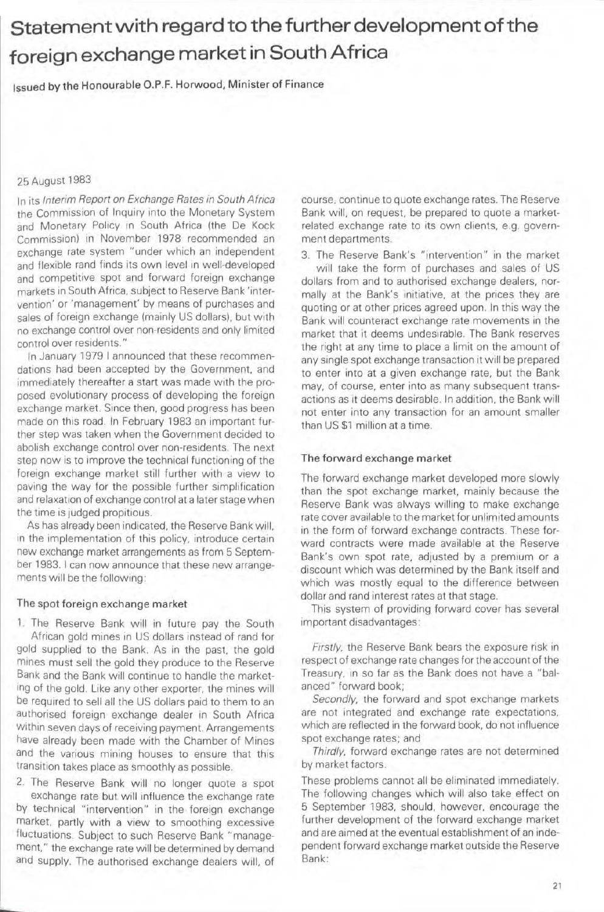## Statement with regard to the further development of the foreign exchange market in South Africa

Issued by the Honourable O.P.F. Horwood, Minister of Finance

## 25 August 1983

In its Interim Report on Exchange Rates in South Africa the Commission of Inquiry into the Monetary System and Monetary Policy in South Africa (the De Kock Commission) in November 1978 recommended an exchange rate system "under which an independent and flexible rand finds its own level in well-developed and competitive spot and forward foreign exchange markets in South Africa. subject to Reserve Bank 'intervention' or 'management' by means of purchases and sales of foreign exchange (mainly US dollars), but with no exchange control over non-residents and only limited control over residents ."

In January 1979 I announced that these recommendations had been accepted by the Government, and immediately thereafter a start was made with the proposed evolutionary process of developing the foreign exchange market. Since then, good progress has been made on this road. In February 1983 an important further step was taken when the Government decided to abolish exchange control over non-residents. The next step now is to improve the technical functioning of the foreign exchange market still further with a view to paving the way for the possible further simplification and relaxation of exchange control at a later stage when the time is judged propitious.

As has already been indicated, the Reserve Bank will. in the implementation of this policy, introduce certain new exchange market arrangements as from 5 September 1983. I can now announce that these new arrangements will be the following:

## The spot foreign exchange market

, The Reserve Bank will in future pay the South African gold mines in US dollars instead of rand for gold supplied to the Bank. As in the past, the gold mines must sell the gold they produce to the Reserve Bank and the Bank will continue to handle the marketing of the gold. Like any other exporter, the mines will be required to sell all the US dollars paid to them to an authorised foreign exchange dealer in South Africa Within seven days of receiving payment. Arrangements have already been made with the Chamber of Mines and the various mining houses to ensure that this transition takes place as smoothly as possible.

2. The Reserve Bank Will no longer quote a spot exchange rate but will influence the exchange rate by technical "intervention" in the foreign exchange market, partly With a view to smoothing excessive fluctuations. Subject to such Reserve Bank "management," the exchange rate will be determined by demand and supply. The authorised exchange dealers will, of

course. continue to quote exchange rates. The Reserve Bank Will, on request, be prepared to Quote a marketrelated exchange rate to its own clients, e.g. government departments.

3. The Reserve Bank's "intervention" in the market will take the form of purchases and sales of US dollars from and to authorised exchange dealers. normally at the Bank's initiative, at the prices they are quoting or at other prices agreed upon. In this way the Bank Will counteract exchange rate movements in the market that it deems undesirable. The Bank reserves the right at any time to place a limit on the amount of any single spot exchange transaction it will be prepared to enter into at a given exchange rate, but the Bank may, of course, enter into as many subsequent transactions as it deems desirable. In addition, the Bank will not enter into any transaction for an amount smaller than US \$1 million at a time.

## The forward exchange market

The forward exchange market developed more slowly than the spot exchange market. mainly because the Aeserve Bank was always Willing to make exchange rate *cover* available to the market for unlimited amounts in the form of forward exchange contracts. These forward contracts were made available at the Reserve Bank's own spot rate, adjusted by a premium or a discount which was determined by the Bank itself and which was mostly equal to the difference between dollar and rand interest rates at that stage.

This system of providing forward cover has several Important disadvantages:

Firstly, the Reserve Bank bears the exposure risk in respect of exchange rate changes for the account of the Treasury. In so far as the Bank does not have a "balanced" forward book;

Secondly, the forward and spot exchange markets are not integrated and exchange rate expectations. which are reflected in the forward book, do not influence spot exchange rates; and

Thirdly, forward exchange rates are not determined by market factors .

These problems cannot all be eliminated immediately. The following changes which will also take effect on 5 September 1983, should, however, encourage the further development of the forward exchange market and are aimed at the eventual establishment of an independent forward exchange market outside the Reserve Bank: